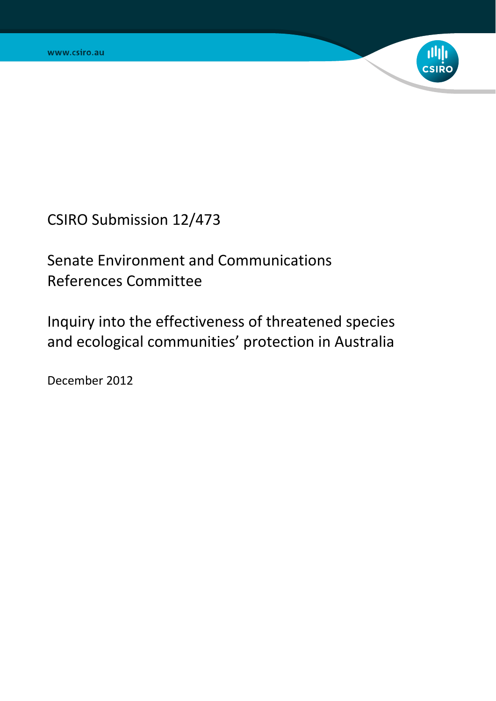

CSIRO Submission 12/473

Senate Environment and Communications References Committee

Inquiry into the effectiveness of threatened species and ecological communities' protection in Australia

December 2012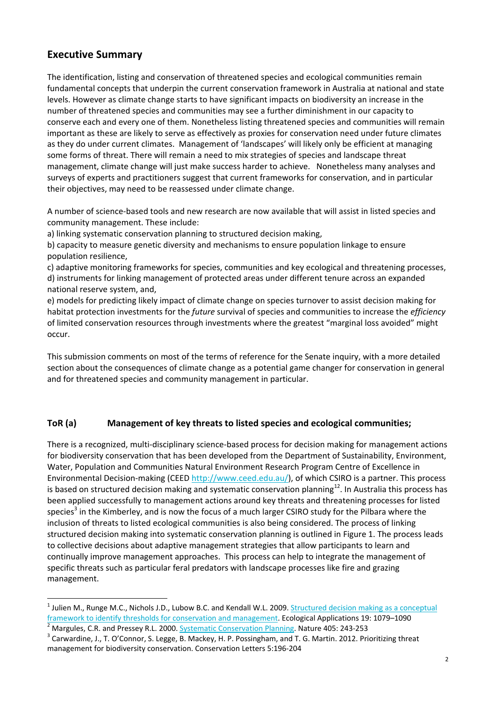# **Executive Summary**

 $\overline{a}$ 

The identification, listing and conservation of threatened species and ecological communities remain fundamental concepts that underpin the current conservation framework in Australia at national and state levels. However as climate change starts to have significant impacts on biodiversity an increase in the number of threatened species and communities may see a further diminishment in our capacity to conserve each and every one of them. Nonetheless listing threatened species and communities will remain important as these are likely to serve as effectively as proxies for conservation need under future climates as they do under current climates. Management of 'landscapes' will likely only be efficient at managing some forms of threat. There will remain a need to mix strategies of species and landscape threat management, climate change will just make success harder to achieve. Nonetheless many analyses and surveys of experts and practitioners suggest that current frameworks for conservation, and in particular their objectives, may need to be reassessed under climate change.

A number of science-based tools and new research are now available that will assist in listed species and community management. These include:

a) linking systematic conservation planning to structured decision making,

b) capacity to measure genetic diversity and mechanisms to ensure population linkage to ensure population resilience,

c) adaptive monitoring frameworks for species, communities and key ecological and threatening processes, d) instruments for linking management of protected areas under different tenure across an expanded national reserve system, and,

e) models for predicting likely impact of climate change on species turnover to assist decision making for habitat protection investments for the *future* survival of species and communities to increase the *efficiency*  of limited conservation resources through investments where the greatest "marginal loss avoided" might occur.

This submission comments on most of the terms of reference for the Senate inquiry, with a more detailed section about the consequences of climate change as a potential game changer for conservation in general and for threatened species and community management in particular.

### **ToR (a) Management of key threats to listed species and ecological communities;**

There is a recognized, multi-disciplinary science-based process for decision making for management actions for biodiversity conservation that has been developed from the Department of Sustainability, Environment, Water, Population and Communities Natural Environment Research Program Centre of Excellence in Environmental Decision-making (CEED http://www.ceed.edu.au/), of which CSIRO is a partner. This process is based on structured decision making and systematic conservation planning<sup>12</sup>. In Australia this process has been applied successfully to management actions around key threats and threatening processes for listed species<sup>3</sup> in the Kimberley, and is now the focus of a much larger CSIRO study for the Pilbara where the inclusion of threats to listed ecological communities is also being considered. The process of linking structured decision making into systematic conservation planning is outlined in Figure 1. The process leads to collective decisions about adaptive management strategies that allow participants to learn and continually improve management approaches. This process can help to integrate the management of specific threats such as particular feral predators with landscape processes like fire and grazing management.

<sup>&</sup>lt;sup>1</sup> Julien M., Runge M.C., Nichols J.D., Lubow B.C. and Kendall W.L. 2009. <u>Structured decision making as a conceptual</u> framework to identify thresholds for conservation and management. Ecological Applications 19: 1079–1090 2

Margules, C.R. and Pressey R.L. 2000. Systematic Conservation Planning. Nature 405: 243-253 3

Carwardine, J., T. O'Connor, S. Legge, B. Mackey, H. P. Possingham, and T. G. Martin. 2012. Prioritizing threat management for biodiversity conservation. Conservation Letters 5:196-204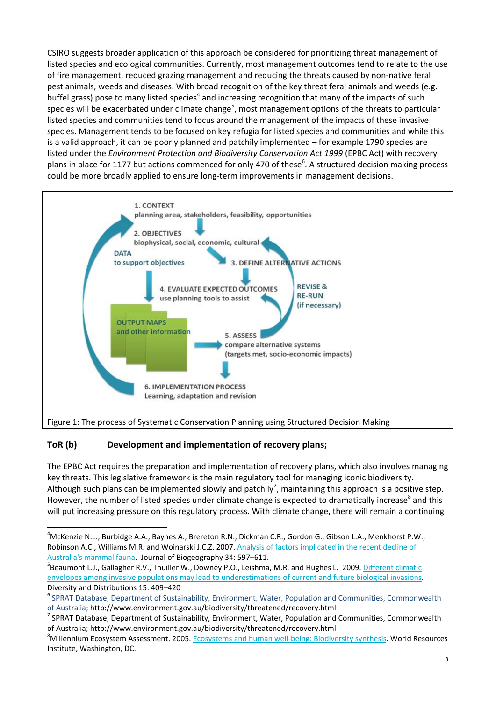CSIRO suggests broader application of this approach be considered for prioritizing threat management of listed species and ecological communities. Currently, most management outcomes tend to relate to the use of fire management, reduced grazing management and reducing the threats caused by non-native feral pest animals, weeds and diseases. With broad recognition of the key threat feral animals and weeds (e.g. buffel grass) pose to many listed species<sup>4</sup> and increasing recognition that many of the impacts of such species will be exacerbated under climate change<sup>5</sup>, most management options of the threats to particular listed species and communities tend to focus around the management of the impacts of these invasive species. Management tends to be focused on key refugia for listed species and communities and while this is a valid approach, it can be poorly planned and patchily implemented – for example 1790 species are listed under the *Environment Protection and Biodiversity Conservation Act 1999* (EPBC Act) with recovery plans in place for 1177 but actions commenced for only 470 of these<sup>6</sup>. A structured decision making process could be more broadly applied to ensure long-term improvements in management decisions.



# **ToR (b) Development and implementation of recovery plans;**

 $\overline{a}$ 

The EPBC Act requires the preparation and implementation of recovery plans, which also involves managing key threats. This legislative framework is the main regulatory tool for managing iconic biodiversity. Although such plans can be implemented slowly and patchily<sup>7</sup>, maintaining this approach is a positive step. However, the number of listed species under climate change is expected to dramatically increase<sup>8</sup> and this will put increasing pressure on this regulatory process. With climate change, there will remain a continuing

<sup>4</sup> McKenzie N.L., Burbidge A.A., Baynes A., Brereton R.N., Dickman C.R., Gordon G., Gibson L.A., Menkhorst P.W., Robinson A.C., Williams M.R. and Woinarski J.C.Z. 2007. Analysis of factors implicated in the recent decline of Australia's mammal fauna. Journal of Biogeography 34: 597-611.

<sup>&</sup>lt;sup>B</sup>Beaumont L.J., Gallagher R.V., Thuiller W., Downey P.O., Leishma, M.R. and Hughes L. 2009. Different climatic envelopes among invasive populations may lead to underestimations of current and future biological invasions. Diversity and Distributions 15: 409–420

<sup>6</sup> SPRAT Database, Department of Sustainability, Environment, Water, Population and Communities, Commonwealth of Australia; http://www.environment.gov.au/biodiversity/threatened/recovery.html 7

 $\textsuperscript{7}$  SPRAT Database, Department of Sustainability, Environment, Water, Population and Communities, Commonwealth of Australia; http://www.environment.gov.au/biodiversity/threatened/recovery.html 8

<sup>&</sup>lt;sup>8</sup>Millennium Ecosystem Assessment. 2005. Ecosystems and human well-being: Biodiversity synthesis. World Resources Institute, Washington, DC.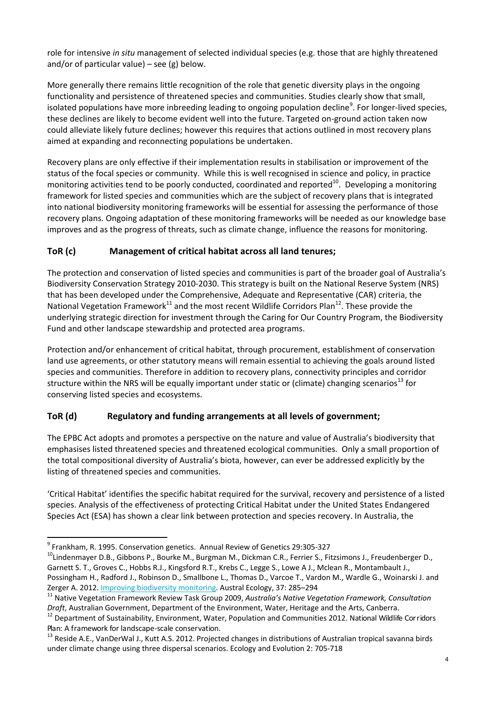role for intensive *in situ* management of selected individual species (e.g. those that are highly threatened and/or of particular value) – see  $(g)$  below.

More generally there remains little recognition of the role that genetic diversity plays in the ongoing functionality and persistence of threatened species and communities. Studies clearly show that small, isolated populations have more inbreeding leading to ongoing population decline<sup>9</sup>. For longer-lived species, these declines are likely to become evident well into the future. Targeted on-ground action taken now could alleviate likely future declines; however this requires that actions outlined in most recovery plans aimed at expanding and reconnecting populations be undertaken.

Recovery plans are only effective if their implementation results in stabilisation or improvement of the status of the focal species or community. While this is well recognised in science and policy, in practice monitoring activities tend to be poorly conducted, coordinated and reported $^{10}$ . Developing a monitoring framework for listed species and communities which are the subject of recovery plans that is integrated into national biodiversity monitoring frameworks will be essential for assessing the performance of those recovery plans. Ongoing adaptation of these monitoring frameworks will be needed as our knowledge base improves and as the progress of threats, such as climate change, influence the reasons for monitoring.

### **ToR (c) Management of critical habitat across all land tenures;**

The protection and conservation of listed species and communities is part of the broader goal of Australia's Biodiversity Conservation Strategy 2010-2030. This strategy is built on the National Reserve System (NRS) that has been developed under the Comprehensive, Adequate and Representative (CAR) criteria, the National Vegetation Framework<sup>11</sup> and the most recent Wildlife Corridors Plan<sup>12</sup>. These provide the underlying strategic direction for investment through the Caring for Our Country Program, the Biodiversity Fund and other landscape stewardship and protected area programs.

Protection and/or enhancement of critical habitat, through procurement, establishment of conservation land use agreements, or other statutory means will remain essential to achieving the goals around listed species and communities. Therefore in addition to recovery plans, connectivity principles and corridor structure within the NRS will be equally important under static or (climate) changing scenarios<sup>13</sup> for conserving listed species and ecosystems.

# **ToR (d) Regulatory and funding arrangements at all levels of government;**

The EPBC Act adopts and promotes a perspective on the nature and value of Australia's biodiversity that emphasises listed threatened species and threatened ecological communities. Only a small proportion of the total compositional diversity of Australia's biota, however, can ever be addressed explicitly by the listing of threatened species and communities.

'Critical Habitat' identifies the specific habitat required for the survival, recovery and persistence of a listed species. Analysis of the effectiveness of protecting Critical Habitat under the United States Endangered Species Act (ESA) has shown a clear link between protection and species recovery. In Australia, the

 9

<sup>&</sup>lt;sup>10</sup>Lindenmayer D.B., Gibbons P., Bourke M., Burgman M., Dickman C.R., Ferrier S., Fitzsimons J., Freudenberger D., Garnett S. T., Groves C., Hobbs R.J., Kingsford R.T., Krebs C., Legge S., Lowe A J., Mclean R., Montambault J., Possingham H., Radford J., Robinson D., Smallbone L., Thomas D., Varcoe T., Vardon M., Wardle G., Woinarski J. and Zerger A. 2012. <u>Improving biodiversity monitoring</u>. Austral Ecology, 37: 285–294<br><sup>11</sup> Native Vegetation Framework Review Task Group 2009, *Australia's Native Vegetation Framework, Consultation* 

*Draft*, Australian Government, Department of the Environment, Water, Heritage and the Arts, Canberra.<br><sup>12</sup> Department of Sustainability, Environment, Water, Population and Communities 2012. National Wildlife Corridors Plan: A framework for landscape-scale conservation.

 $13$  Reside A.E., VanDerWal J., Kutt A.S. 2012. Projected changes in distributions of Australian tropical savanna birds under climate change using three dispersal scenarios. Ecology and Evolution 2: 705-718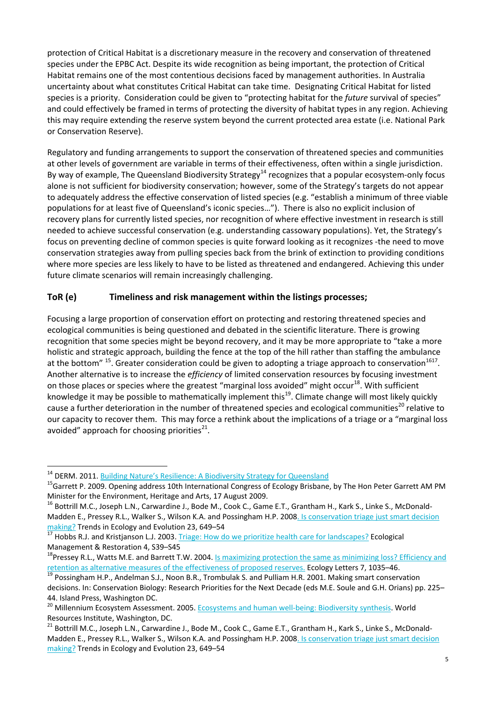protection of Critical Habitat is a discretionary measure in the recovery and conservation of threatened species under the EPBC Act. Despite its wide recognition as being important, the protection of Critical Habitat remains one of the most contentious decisions faced by management authorities. In Australia uncertainty about what constitutes Critical Habitat can take time. Designating Critical Habitat for listed species is a priority. Consideration could be given to "protecting habitat for the *future* survival of species" and could effectively be framed in terms of protecting the diversity of habitat types in any region. Achieving this may require extending the reserve system beyond the current protected area estate (i.e. National Park or Conservation Reserve).

Regulatory and funding arrangements to support the conservation of threatened species and communities at other levels of government are variable in terms of their effectiveness, often within a single jurisdiction. By way of example, The Queensland Biodiversity Strategy<sup>14</sup> recognizes that a popular ecosystem-only focus alone is not sufficient for biodiversity conservation; however, some of the Strategy's targets do not appear to adequately address the effective conservation of listed species (e.g. "establish a minimum of three viable populations for at least five of Queensland's iconic species…"). There is also no explicit inclusion of recovery plans for currently listed species, nor recognition of where effective investment in research is still needed to achieve successful conservation (e.g. understanding cassowary populations). Yet, the Strategy's focus on preventing decline of common species is quite forward looking as it recognizes -the need to move conservation strategies away from pulling species back from the brink of extinction to providing conditions where more species are less likely to have to be listed as threatened and endangered. Achieving this under future climate scenarios will remain increasingly challenging.

### **ToR (e) Timeliness and risk management within the listings processes;**

Focusing a large proportion of conservation effort on protecting and restoring threatened species and ecological communities is being questioned and debated in the scientific literature. There is growing recognition that some species might be beyond recovery, and it may be more appropriate to "take a more holistic and strategic approach, building the fence at the top of the hill rather than staffing the ambulance at the bottom"  $^{15}$ . Greater consideration could be given to adopting a triage approach to conservation  $^{1617}$ . Another alternative is to increase the *efficiency* of limited conservation resources by focusing investment on those places or species where the greatest "marginal loss avoided" might occur<sup>18</sup>. With sufficient knowledge it may be possible to mathematically implement this<sup>19</sup>. Climate change will most likely quickly cause a further deterioration in the number of threatened species and ecological communities<sup>20</sup> relative to our capacity to recover them. This may force a rethink about the implications of a triage or a "marginal loss avoided" approach for choosing priorities $^{21}$ .

 $\overline{\phantom{a}}$ 

<sup>&</sup>lt;sup>14</sup> DERM. 2011. <u>Building Nature's Resilience: A Biodiversity Strategy for Queensland</u><br><sup>15</sup>Garrett P. 2009. Opening address 10th International Congress of Ecology Brisbane, by The Hon Peter Garrett AM PM Minister for the Environment, Heritage and Arts, 17 August 2009.<br><sup>16</sup> Bottrill M.C., Joseph L.N., Carwardine J., Bode M., Cook C., Game E.T., Grantham H., Kark S., Linke S., McDonald-

Madden E., Pressey R.L., Walker S., Wilson K.A. and Possingham H.P. 2008. Is conservation triage just smart decision making? Trends in Ecology and Evolution 23, 649–54<br><sup>17</sup> Hobbs R.J. and Kristianson L.J. 2003. Triage: How do we prioritize health care for landscapes? Ecological

Management & Restoration 4, S39–S45

<sup>&</sup>lt;sup>18</sup>Pressey R.L., Watts M.E. and Barrett T.W. 2004. <u>Is maximizing protection the same as minimizing loss? Efficiency and</u><br>retention as alternative measures of the effectiveness of proposed reserves. Ecology Letters 7, 103

<sup>&</sup>lt;sup>19</sup> Possingham H.P., Andelman S.J., Noon B.R., Trombulak S. and Pulliam H.R. 2001. Making smart conservation decisions. In: Conservation Biology: Research Priorities for the Next Decade (eds M.E. Soule and G.H. Orians) pp. 225– 44. Island Press, Washington DC.

<sup>&</sup>lt;sup>20</sup> Millennium Ecosystem Assessment. 2005. Ecosystems and human well-being: Biodiversity synthesis. World Resources Institute, Washington, DC.

<sup>&</sup>lt;sup>21</sup> Bottrill M.C., Joseph L.N., Carwardine J., Bode M., Cook C., Game E.T., Grantham H., Kark S., Linke S., McDonald-Madden E., Pressey R.L., Walker S., Wilson K.A. and Possingham H.P. 2008. Is conservation triage just smart decision making? Trends in Ecology and Evolution 23, 649–54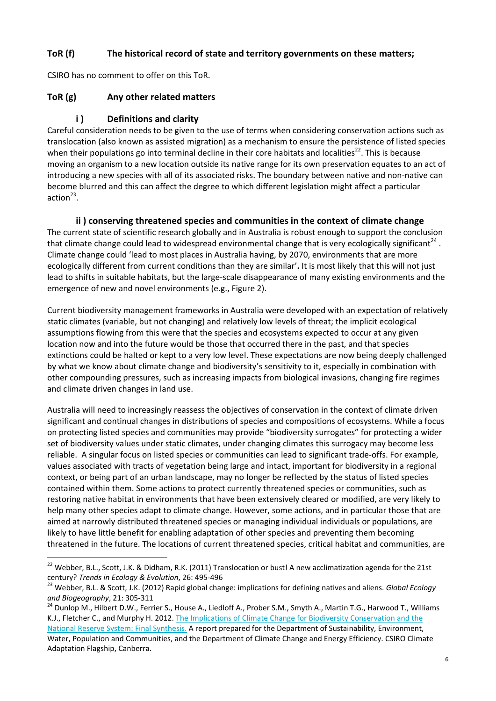### **ToR (f) The historical record of state and territory governments on these matters;**

CSIRO has no comment to offer on this ToR.

#### **ToR (g) Any other related matters**

 $\overline{\phantom{a}}$ 

### **i ) Definitions and clarity**

Careful consideration needs to be given to the use of terms when considering conservation actions such as translocation (also known as assisted migration) as a mechanism to ensure the persistence of listed species when their populations go into terminal decline in their core habitats and localities<sup>22</sup>. This is because moving an organism to a new location outside its native range for its own preservation equates to an act of introducing a new species with all of its associated risks. The boundary between native and non-native can become blurred and this can affect the degree to which different legislation might affect a particular action $^{23}$ .

**ii ) conserving threatened species and communities in the context of climate change**  The current state of scientific research globally and in Australia is robust enough to support the conclusion that climate change could lead to widespread environmental change that is very ecologically significant<sup>24</sup>. Climate change could 'lead to most places in Australia having, by 2070, environments that are more ecologically different from current conditions than they are similar'**.** It is most likely that this will not just lead to shifts in suitable habitats, but the large-scale disappearance of many existing environments and the emergence of new and novel environments (e.g., Figure 2).

Current biodiversity management frameworks in Australia were developed with an expectation of relatively static climates (variable, but not changing) and relatively low levels of threat; the implicit ecological assumptions flowing from this were that the species and ecosystems expected to occur at any given location now and into the future would be those that occurred there in the past, and that species extinctions could be halted or kept to a very low level. These expectations are now being deeply challenged by what we know about climate change and biodiversity's sensitivity to it, especially in combination with other compounding pressures, such as increasing impacts from biological invasions, changing fire regimes and climate driven changes in land use.

Australia will need to increasingly reassess the objectives of conservation in the context of climate driven significant and continual changes in distributions of species and compositions of ecosystems. While a focus on protecting listed species and communities may provide "biodiversity surrogates" for protecting a wider set of biodiversity values under static climates, under changing climates this surrogacy may become less reliable. A singular focus on listed species or communities can lead to significant trade-offs. For example, values associated with tracts of vegetation being large and intact, important for biodiversity in a regional context, or being part of an urban landscape, may no longer be reflected by the status of listed species contained within them. Some actions to protect currently threatened species or communities, such as restoring native habitat in environments that have been extensively cleared or modified, are very likely to help many other species adapt to climate change. However, some actions, and in particular those that are aimed at narrowly distributed threatened species or managing individual individuals or populations, are likely to have little benefit for enabling adaptation of other species and preventing them becoming threatened in the future. The locations of current threatened species, critical habitat and communities, are

<sup>&</sup>lt;sup>22</sup> Webber, B.L., Scott, J.K. & Didham, R.K. (2011) Translocation or bust! A new acclimatization agenda for the 21st century? *Trends in Ecology & Evolution*, 26: 495-496<br><sup>23</sup> Webber, B.L. & Scott, J.K. (2012) Rapid global change: implications for defining natives and aliens. *Global Ecology* 

and Biogeography, 21: 305-311<br><sup>24</sup> Dunlop M., Hilbert D.W., Ferrier S., House A., Liedloff A., Prober S.M., Smyth A., Martin T.G., Harwood T., Williams

K.J., Fletcher C., and Murphy H. 2012. The Implications of Climate Change for Biodiversity Conservation and the National Reserve System: Final Synthesis. A report prepared for the Department of Sustainability, Environment, Water, Population and Communities, and the Department of Climate Change and Energy Efficiency. CSIRO Climate Adaptation Flagship, Canberra.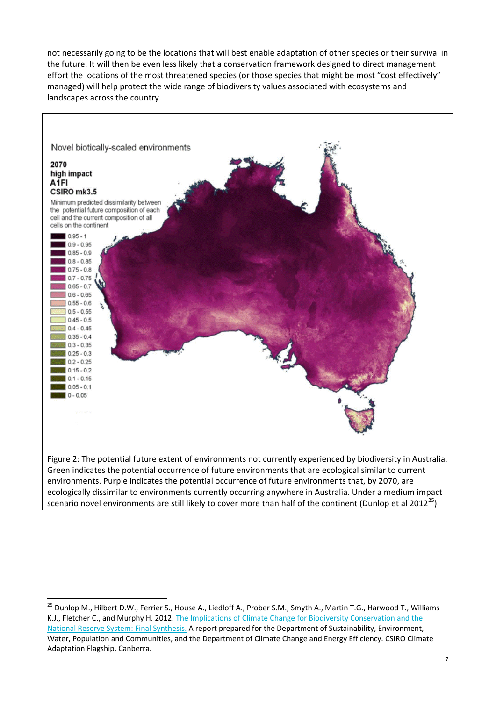not necessarily going to be the locations that will best enable adaptation of other species or their survival in the future. It will then be even less likely that a conservation framework designed to direct management effort the locations of the most threatened species (or those species that might be most "cost effectively" managed) will help protect the wide range of biodiversity values associated with ecosystems and landscapes across the country.



Figure 2: The potential future extent of environments not currently experienced by biodiversity in Australia. Green indicates the potential occurrence of future environments that are ecological similar to current environments. Purple indicates the potential occurrence of future environments that, by 2070, are ecologically dissimilar to environments currently occurring anywhere in Australia. Under a medium impact scenario novel environments are still likely to cover more than half of the continent (Dunlop et al 2012<sup>25</sup>).

 $\overline{a}$ 

<sup>&</sup>lt;sup>25</sup> Dunlop M., Hilbert D.W., Ferrier S., House A., Liedloff A., Prober S.M., Smyth A., Martin T.G., Harwood T., Williams K.J., Fletcher C., and Murphy H. 2012. The Implications of Climate Change for Biodiversity Conservation and the National Reserve System: Final Synthesis. A report prepared for the Department of Sustainability, Environment, Water, Population and Communities, and the Department of Climate Change and Energy Efficiency. CSIRO Climate Adaptation Flagship, Canberra.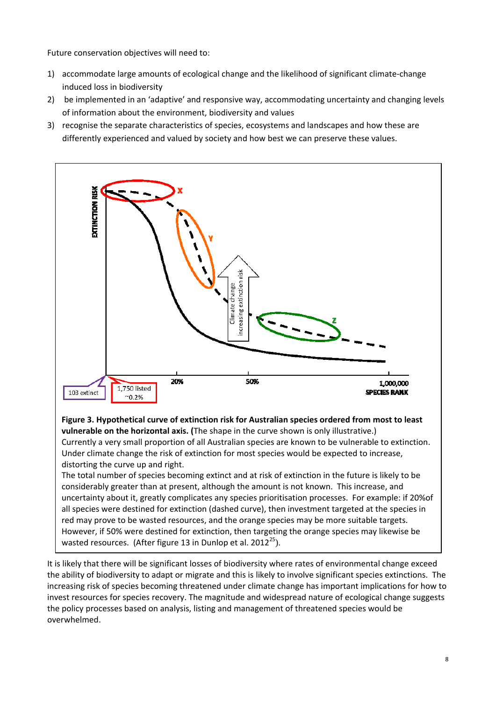Future conservation objectives will need to:

- 1) accommodate large amounts of ecological change and the likelihood of significant climate-change induced loss in biodiversity
- 2) be implemented in an 'adaptive' and responsive way, accommodating uncertainty and changing levels of information about the environment, biodiversity and values
- 3) recognise the separate characteristics of species, ecosystems and landscapes and how these are differently experienced and valued by society and how best we can preserve these values.



However, if 50% were destined for extinction, then targeting the orange species may likewise be wasted resources. (After figure 13 in Dunlop et al.  $2012^{25}$ ).

It is likely that there will be significant losses of biodiversity where rates of environmental change exceed the ability of biodiversity to adapt or migrate and this is likely to involve significant species extinctions. The increasing risk of species becoming threatened under climate change has important implications for how to invest resources for species recovery. The magnitude and widespread nature of ecological change suggests the policy processes based on analysis, listing and management of threatened species would be overwhelmed.